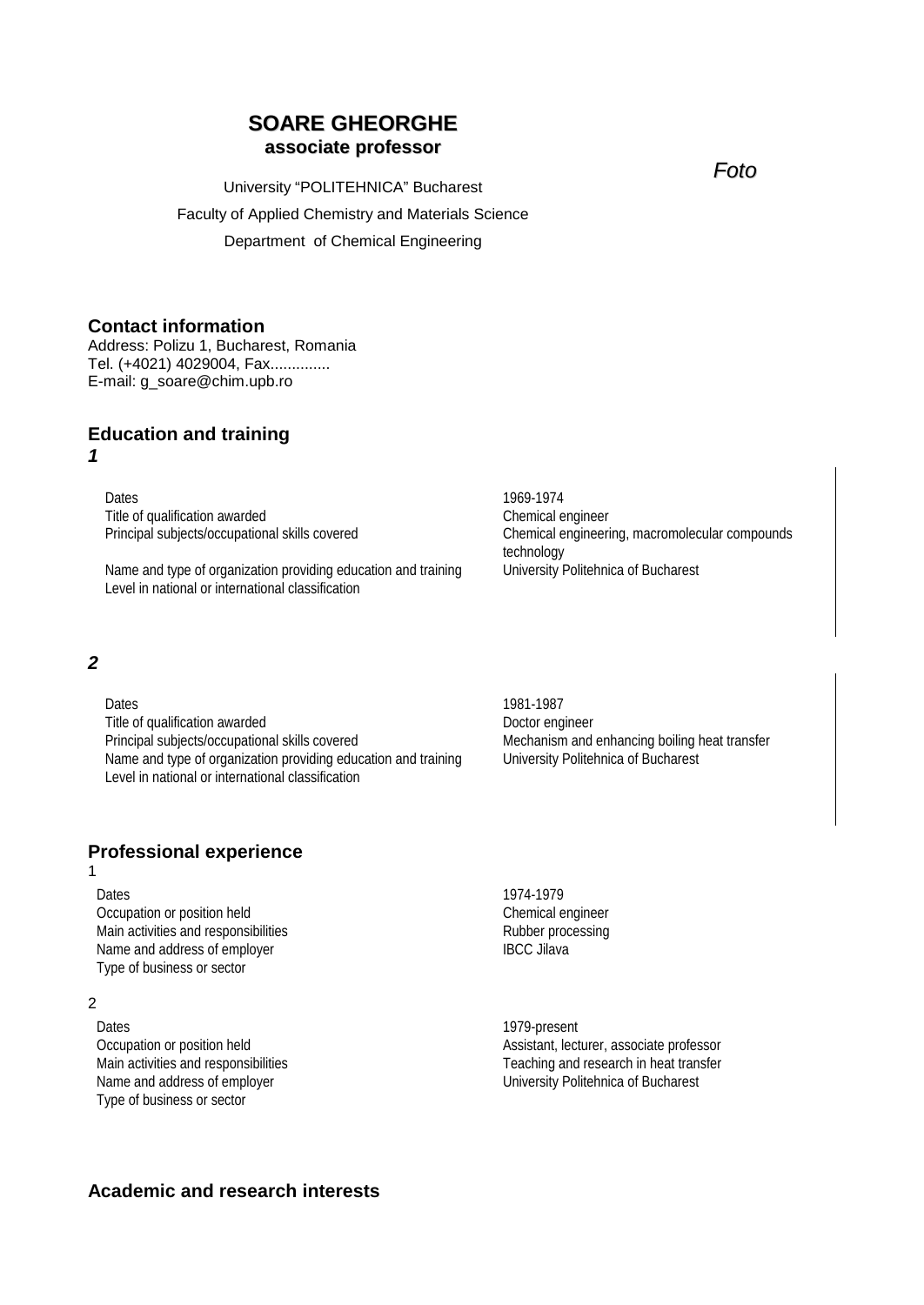# **SOARE GHEORGHE associate professor**

University "POLITEHNICA" Bucharest Faculty of Applied Chemistry and Materials Science Department of Chemical Engineering

# **Contact information**

Address: Polizu 1, Bucharest, Romania Tel. (+4021) 4029004, Fax.............. E-mail: g\_soare@chim.upb.ro

# **Education and training**

#### *1*

Dates 1969-1974 Title of qualification awarded Chemical engineer

Name and type of organization providing education and training Level in national or international classification

# *2*

Dates 1981-1987 Title of qualification awarded<br>
Principal subjects/occupational skills covered<br>
Doctor engineer<br>
Mechanism and Name and type of organization providing education and training University Politehnica of Bucharest Level in national or international classification

Mechanism and enhancing boiling heat transfer

#### **Professional experience** 1

Dates 1974-1979 Occupation or position held Chemical engineer Main activities and responsibilities<br>
Name and address of employer<br>
Rubber processing<br>
REC Jilava Name and address of employer Type of business or sector

## 2

Dates 2012 1979-present Type of business or sector

Occupation or position held **Assistant**, lecturer, associate professor Main activities and responsibilities Teaching and research in heat transfer Name and address of employer **Name and address of employer** University Politehnica of Bucharest

Principal subjects/occupational skills covered Chemical engineering, macromolecular compounds technology<br>University Politehnica of Bucharest

*Foto*

# **Academic and research interests**